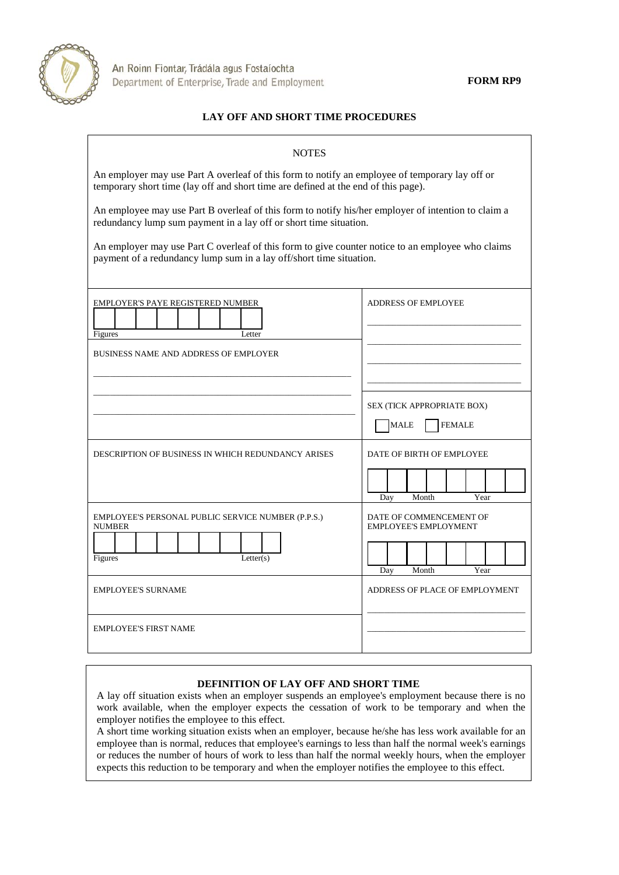

**FORM RP9**

## **LAY OFF AND SHORT TIME PROCEDURES**

| <b>NOTES</b>                                                                                                                                                                         |                                                     |
|--------------------------------------------------------------------------------------------------------------------------------------------------------------------------------------|-----------------------------------------------------|
| An employer may use Part A overleaf of this form to notify an employee of temporary lay off or<br>temporary short time (lay off and short time are defined at the end of this page). |                                                     |
| An employee may use Part B overleaf of this form to notify his/her employer of intention to claim a<br>redundancy lump sum payment in a lay off or short time situation.             |                                                     |
| An employer may use Part C overleaf of this form to give counter notice to an employee who claims<br>payment of a redundancy lump sum in a lay off/short time situation.             |                                                     |
| <b>EMPLOYER'S PAYE REGISTERED NUMBER</b><br>Figures<br>Letter                                                                                                                        | <b>ADDRESS OF EMPLOYEE</b>                          |
| <b>BUSINESS NAME AND ADDRESS OF EMPLOYER</b>                                                                                                                                         |                                                     |
|                                                                                                                                                                                      | SEX (TICK APPROPRIATE BOX)<br><b>FEMALE</b><br>MALE |
| DESCRIPTION OF BUSINESS IN WHICH REDUNDANCY ARISES                                                                                                                                   | DATE OF BIRTH OF EMPLOYEE                           |
|                                                                                                                                                                                      | Year<br>Month<br>Day                                |
| EMPLOYEE'S PERSONAL PUBLIC SERVICE NUMBER (P.P.S.)<br><b>EMPLOYEE'S EMPLOYMENT</b><br><b>NUMBER</b>                                                                                  | DATE OF COMMENCEMENT OF                             |
| Figures<br>Letter(s)                                                                                                                                                                 | Month<br>Year<br>Day                                |
| <b>EMPLOYEE'S SURNAME</b>                                                                                                                                                            | ADDRESS OF PLACE OF EMPLOYMENT                      |
| <b>EMPLOYEE'S FIRST NAME</b>                                                                                                                                                         |                                                     |

## **DEFINITION OF LAY OFF AND SHORT TIME**

A lay off situation exists when an employer suspends an employee's employment because there is no work available, when the employer expects the cessation of work to be temporary and when the employer notifies the employee to this effect.

A short time working situation exists when an employer, because he/she has less work available for an employee than is normal, reduces that employee's earnings to less than half the normal week's earnings or reduces the number of hours of work to less than half the normal weekly hours, when the employer expects this reduction to be temporary and when the employer notifies the employee to this effect.